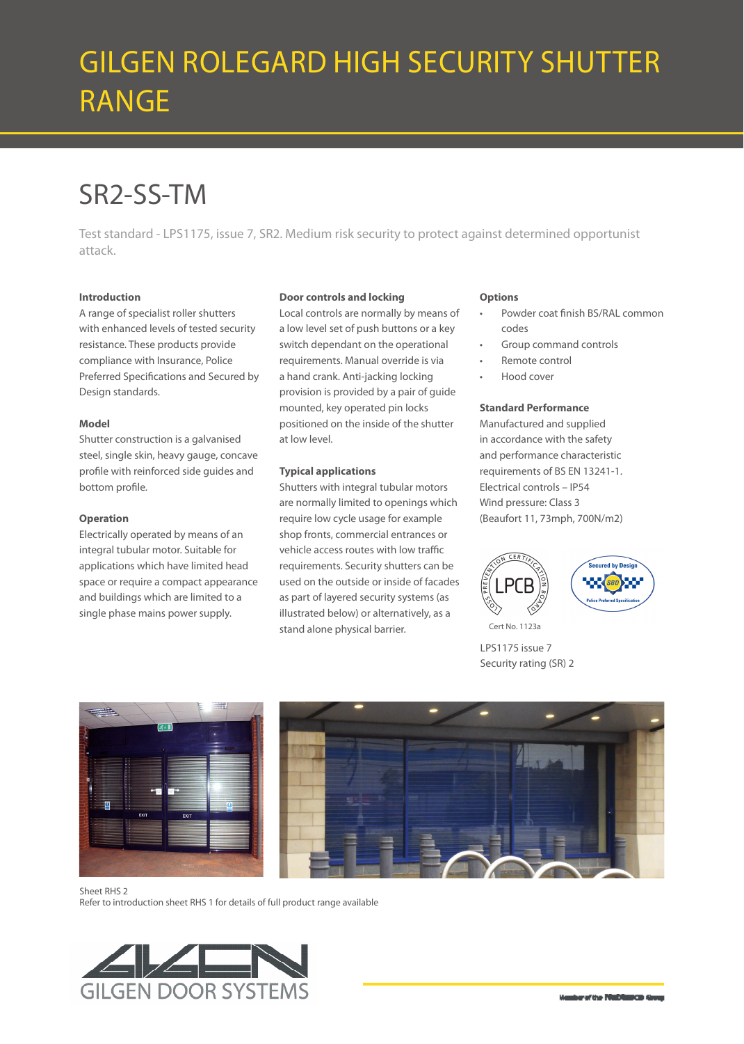# GILGEN ROLEGARD HIGH SECURITY SHUTTER RANGE

## SR2-SS-TM

Test standard - LPS1175, issue 7, SR2. Medium risk security to protect against determined opportunist attack.

#### **Introduction**

A range of specialist roller shutters with enhanced levels of tested security resistance. These products provide compliance with Insurance, Police Preferred Specifications and Secured by Design standards.

#### **Model**

Shutter construction is a galvanised steel, single skin, heavy gauge, concave profile with reinforced side guides and bottom profile.

#### **Operation**

Electrically operated by means of an integral tubular motor. Suitable for applications which have limited head space or require a compact appearance and buildings which are limited to a single phase mains power supply.

#### **Door controls and locking**

Local controls are normally by means of a low level set of push buttons or a key switch dependant on the operational requirements. Manual override is via a hand crank. Anti-jacking locking provision is provided by a pair of guide mounted, key operated pin locks positioned on the inside of the shutter at low level.

#### **Typical applications**

Shutters with integral tubular motors are normally limited to openings which require low cycle usage for example shop fronts, commercial entrances or vehicle access routes with low traffic requirements. Security shutters can be used on the outside or inside of facades as part of layered security systems (as illustrated below) or alternatively, as a stand alone physical barrier.

#### **Options**

- Powder coat finish BS/RAL common codes
- Group command controls
- Remote control
- Hood cover

#### **Standard Performance**

Manufactured and supplied in accordance with the safety and performance characteristic requirements of BS EN 13241-1. Electrical controls – IP54 Wind pressure: Class 3 (Beaufort 11, 73mph, 700N/m2)



LPS1175 issue 7 Security rating (SR) 2



Sheet RHS 2

Refer to introduction sheet RHS 1 for details of full product range available